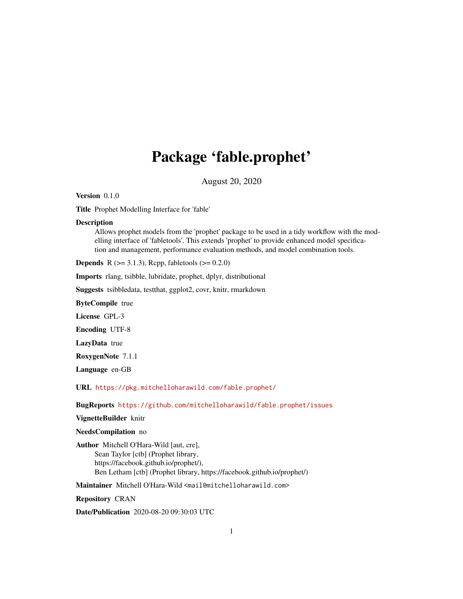# Package 'fable.prophet'

August 20, 2020

<span id="page-0-0"></span>Version 0.1.0

Title Prophet Modelling Interface for 'fable'

#### **Description**

Allows prophet models from the 'prophet' package to be used in a tidy workflow with the modelling interface of 'fabletools'. This extends 'prophet' to provide enhanced model specification and management, performance evaluation methods, and model combination tools.

**Depends** R ( $>= 3.1.3$ ), Rcpp, fabletools ( $>= 0.2.0$ )

Imports rlang, tsibble, lubridate, prophet, dplyr, distributional

Suggests tsibbledata, testthat, ggplot2, covr, knitr, rmarkdown

ByteCompile true

License GPL-3

Encoding UTF-8

LazyData true

RoxygenNote 7.1.1

Language en-GB

URL <https://pkg.mitchelloharawild.com/fable.prophet/>

BugReports <https://github.com/mitchelloharawild/fable.prophet/issues>

#### VignetteBuilder knitr

#### NeedsCompilation no

Author Mitchell O'Hara-Wild [aut, cre], Sean Taylor [ctb] (Prophet library, https://facebook.github.io/prophet/), Ben Letham [ctb] (Prophet library, https://facebook.github.io/prophet/)

Maintainer Mitchell O'Hara-Wild <mail@mitchelloharawild.com>

Repository CRAN

Date/Publication 2020-08-20 09:30:03 UTC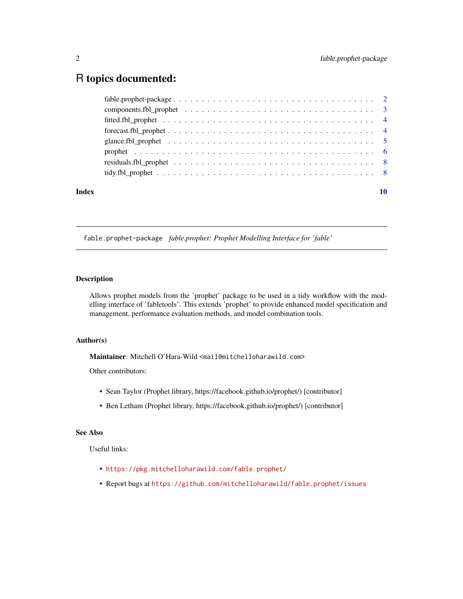# <span id="page-1-0"></span>R topics documented:

|       | $forecast.fbl\_prophet \ldots \ldots \ldots \ldots \ldots \ldots \ldots \ldots \ldots \ldots \ldots \ldots \ldots$ |  |
|-------|--------------------------------------------------------------------------------------------------------------------|--|
|       |                                                                                                                    |  |
|       |                                                                                                                    |  |
|       |                                                                                                                    |  |
|       |                                                                                                                    |  |
| Index |                                                                                                                    |  |

fable.prophet-package *fable.prophet: Prophet Modelling Interface for 'fable'*

### Description

Allows prophet models from the 'prophet' package to be used in a tidy workflow with the modelling interface of 'fabletools'. This extends 'prophet' to provide enhanced model specification and management, performance evaluation methods, and model combination tools.

# Author(s)

Maintainer: Mitchell O'Hara-Wild <mail@mitchelloharawild.com>

Other contributors:

- Sean Taylor (Prophet library, https://facebook.github.io/prophet/) [contributor]
- Ben Letham (Prophet library, https://facebook.github.io/prophet/) [contributor]

#### See Also

Useful links:

- <https://pkg.mitchelloharawild.com/fable.prophet/>
- Report bugs at <https://github.com/mitchelloharawild/fable.prophet/issues>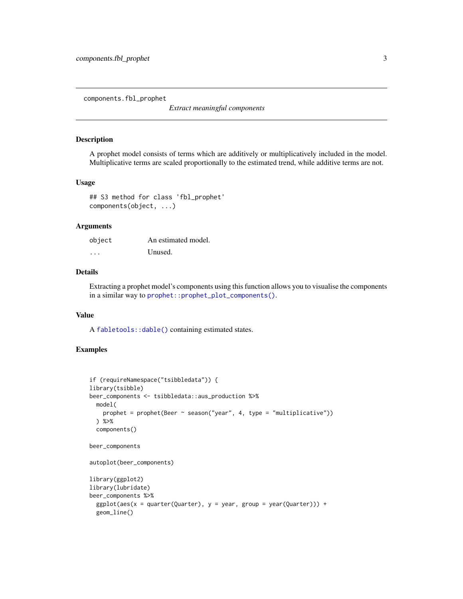<span id="page-2-0"></span>components.fbl\_prophet

*Extract meaningful components*

#### Description

A prophet model consists of terms which are additively or multiplicatively included in the model. Multiplicative terms are scaled proportionally to the estimated trend, while additive terms are not.

### Usage

```
## S3 method for class 'fbl_prophet'
components(object, ...)
```
#### Arguments

| object   | An estimated model. |
|----------|---------------------|
| $\cdots$ | Unused.             |

### Details

Extracting a prophet model's components using this function allows you to visualise the components in a similar way to [prophet::prophet\\_plot\\_components\(\)](#page-0-0).

#### Value

A [fabletools::dable\(\)](#page-0-0) containing estimated states.

# Examples

```
if (requireNamespace("tsibbledata")) {
library(tsibble)
beer_components <- tsibbledata::aus_production %>%
  model(
    prophet = prophet(Beer ~ season("year", 4, type = "multiplicative"))
  ) %>%
  components()
beer_components
autoplot(beer_components)
library(ggplot2)
library(lubridate)
beer_components %>%
  ggplot(aes(x = quarter(Quarter), y = year, group = year(Quarter))) +geom_line()
```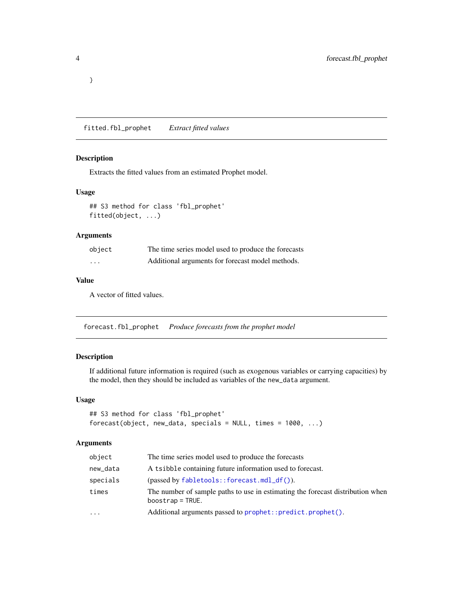fitted.fbl\_prophet *Extract fitted values*

#### Description

Extracts the fitted values from an estimated Prophet model.

#### Usage

## S3 method for class 'fbl\_prophet' fitted(object, ...)

#### Arguments

| object   | The time series model used to produce the forecasts |
|----------|-----------------------------------------------------|
| $\cdots$ | Additional arguments for forecast model methods.    |

### Value

A vector of fitted values.

forecast.fbl\_prophet *Produce forecasts from the prophet model*

# Description

If additional future information is required (such as exogenous variables or carrying capacities) by the model, then they should be included as variables of the new\_data argument.

### Usage

```
## S3 method for class 'fbl_prophet'
forecast(object, new_data, specials = NULL, times = 1000, ...)
```
#### Arguments

| object   | The time series model used to produce the forecasts                                                  |
|----------|------------------------------------------------------------------------------------------------------|
| new_data | A tsibble containing future information used to forecast.                                            |
| specials | $(passed by fabletools::forecast.mdl_df())$ .                                                        |
| times    | The number of sample paths to use in estimating the forecast distribution when<br>$boostrap = TRUE.$ |
| $\cdots$ | Additional arguments passed to prophet::predict.prophet().                                           |
|          |                                                                                                      |

<span id="page-3-0"></span>}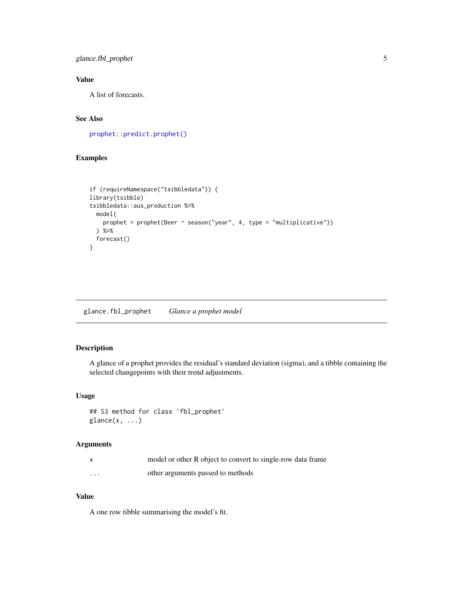# <span id="page-4-0"></span>glance.fbl\_prophet 5

# Value

A list of forecasts.

# See Also

```
prophet::predict.prophet()
```
# Examples

```
if (requireNamespace("tsibbledata")) {
library(tsibble)
tsibbledata::aus_production %>%
  model(
   prophet = prophet(Beer ~ season("year", 4, type = "multiplicative"))
  ) %>%
  forecast()
}
```
glance.fbl\_prophet *Glance a prophet model*

# Description

A glance of a prophet provides the residual's standard deviation (sigma), and a tibble containing the selected changepoints with their trend adjustments.

# Usage

```
## S3 method for class 'fbl_prophet'
\text{glance}(x, \ldots)
```
# Arguments

|          | model or other R object to convert to single-row data frame |
|----------|-------------------------------------------------------------|
| $\cdots$ | other arguments passed to methods                           |

#### Value

A one row tibble summarising the model's fit.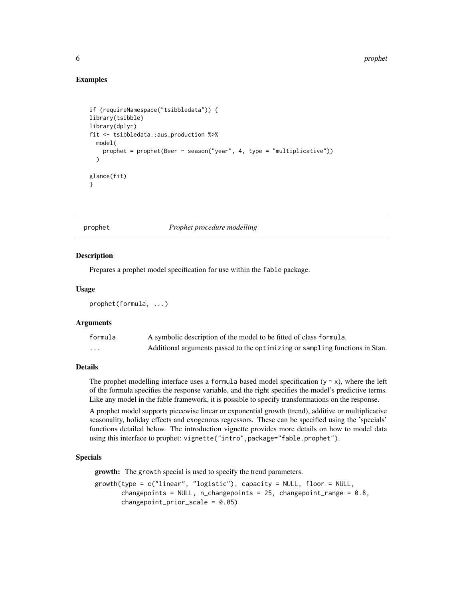#### Examples

```
if (requireNamespace("tsibbledata")) {
library(tsibble)
library(dplyr)
fit <- tsibbledata::aus_production %>%
  model(
    prophet = prophet(Beer \sim season("year", 4, type = "multiplicative"))
  )
glance(fit)
}
```
#### prophet *Prophet procedure modelling*

#### Description

Prepares a prophet model specification for use within the fable package.

#### Usage

```
prophet(formula, ...)
```
#### Arguments

| formula  | A symbolic description of the model to be fitted of class formula.           |
|----------|------------------------------------------------------------------------------|
| $\cdots$ | Additional arguments passed to the optimizing or sampling functions in Stan. |

#### Details

The prophet modelling interface uses a formula based model specification ( $y \sim x$ ), where the left of the formula specifies the response variable, and the right specifies the model's predictive terms. Like any model in the fable framework, it is possible to specify transformations on the response.

A prophet model supports piecewise linear or exponential growth (trend), additive or multiplicative seasonality, holiday effects and exogenous regressors. These can be specified using the 'specials' functions detailed below. The introduction vignette provides more details on how to model data using this interface to prophet: vignette("intro", package="fable.prophet").

#### Specials

growth: The growth special is used to specify the trend parameters.

```
growth(type = c("linear", "logistic"), capacity = NULL, floor = NULL,
      changepoints = NULL, n_changepoints = 25, changepoint_range = 0.8,
      changepoint_prior_scale = 0.05)
```
<span id="page-5-0"></span>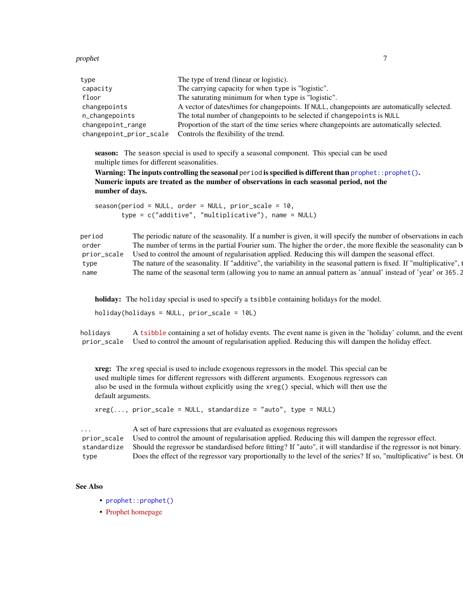<span id="page-6-0"></span>prophet 7 and 2008 and 2008 and 2008 and 2008 and 2008 and 2008 and 2008 and 2008 and 2008 and 2008 and 2008 and 2008 and 2008 and 2008 and 2008 and 2008 and 2008 and 2008 and 2008 and 2008 and 2008 and 2008 and 2008 and 2

| type                    | The type of trend (linear or logistic).                                                     |
|-------------------------|---------------------------------------------------------------------------------------------|
| capacity                | The carrying capacity for when type is "logistic".                                          |
| floor                   | The saturating minimum for when type is "logistic".                                         |
| changepoints            | A vector of dates/times for changepoints. If NULL, changepoints are automatically selected. |
| n_changepoints          | The total number of changepoints to be selected if changepoints is NULL                     |
| changepoint_range       | Proportion of the start of the time series where changepoints are automatically selected.   |
| changepoint_prior_scale | Controls the flexibility of the trend.                                                      |

season: The season special is used to specify a seasonal component. This special can be used multiple times for different seasonalities.

Warning: The inputs controlling the seasonal period is specified is different than  $\text{proplet}: \text{proplet}()$ . Numeric inputs are treated as the number of observations in each seasonal period, not the number of days.

```
season(period = NULL, order = NULL, prior_scale = 10,
       type = c("additive", "multiplicative"), name = NULL)
```
period The periodic nature of the seasonality. If a number is given, it will specify the number of observations in each order The number of terms in the partial Fourier sum. The higher the order, the more flexible the seasonality can b prior\_scale Used to control the amount of regularisation applied. Reducing this will dampen the seasonal effect. type The nature of the seasonality. If "additive", the variability in the seasonal pattern is fixed. If "multiplicative", i name The name of the seasonal term (allowing you to name an annual pattern as 'annual' instead of 'year' or 365.2

holiday: The holiday special is used to specify a tsibble containing holidays for the model.

holiday(holidays =  $NULL$ , prior\_scale =  $10L$ )

holidays A [tsibble](https://tsibble.tidyverts.org/) containing a set of holiday events. The event name is given in the 'holiday' column, and the event prior\_scale Used to control the amount of regularisation applied. Reducing this will dampen the holiday effect.

xreg: The xreg special is used to include exogenous regressors in the model. This special can be used multiple times for different regressors with different arguments. Exogenous regressors can also be used in the formula without explicitly using the xreg() special, which will then use the default arguments.

```
xreg(..., prior\_scale = NULL, standardize = "auto", type = NULL)
```
A set of bare expressions that are evaluated as exogenous regressors prior\_scale Used to control the amount of regularisation applied. Reducing this will dampen the regressor effect. standardize Should the regressor be standardised before fitting? If "auto", it will standardise if the regressor is not binary. type Does the effect of the regressor vary proportionally to the level of the series? If so, "multiplicative" is best. Otherwise

#### See Also

- [prophet::prophet\(\)](#page-0-0)
- [Prophet homepage](https://facebook.github.io/prophet/)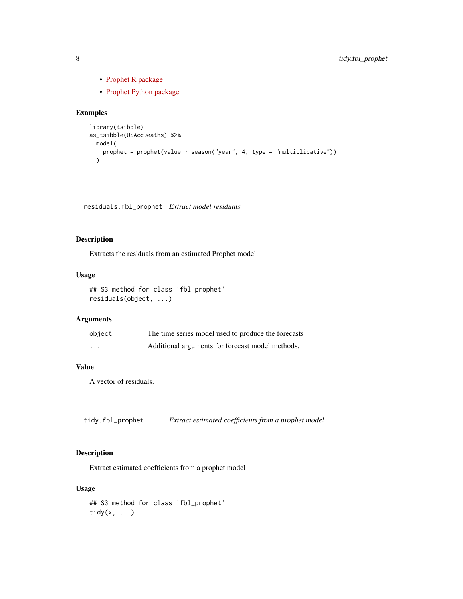- [Prophet R package](https://CRAN.R-project.org/package=prophet)
- [Prophet Python package](https://pypi.org/project/fbprophet/)

# Examples

```
library(tsibble)
as_tsibble(USAccDeaths) %>%
 model(
    prophet = prophet(value ~ season("year", 4, type = "multiplicative"))
  \lambda
```
residuals.fbl\_prophet *Extract model residuals*

### Description

Extracts the residuals from an estimated Prophet model.

# Usage

```
## S3 method for class 'fbl_prophet'
residuals(object, ...)
```
#### Arguments

| object | The time series model used to produce the forecasts |
|--------|-----------------------------------------------------|
| .      | Additional arguments for forecast model methods.    |

# Value

A vector of residuals.

tidy.fbl\_prophet *Extract estimated coefficients from a prophet model*

# Description

Extract estimated coefficients from a prophet model

#### Usage

## S3 method for class 'fbl\_prophet' tidy $(x, \ldots)$ 

<span id="page-7-0"></span>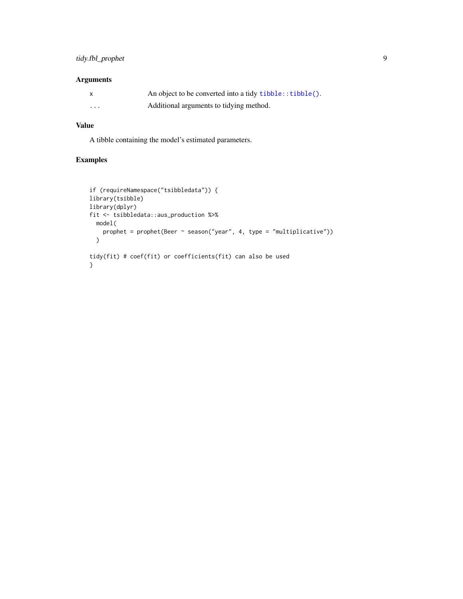# <span id="page-8-0"></span>tidy.fbl\_prophet 9

# Arguments

| $\mathsf{x}$ | An object to be converted into a tidy tibble::tibble(). |
|--------------|---------------------------------------------------------|
| $\cdots$     | Additional arguments to tidying method.                 |

# Value

A tibble containing the model's estimated parameters.

# Examples

```
if (requireNamespace("tsibbledata")) {
library(tsibble)
library(dplyr)
fit <- tsibbledata::aus_production %>%
  model(
    prophet = prophet(Beer ~ season("year", 4, type = "multiplicative"))
  \mathcal{L}tidy(fit) # coef(fit) or coefficients(fit) can also be used
}
```